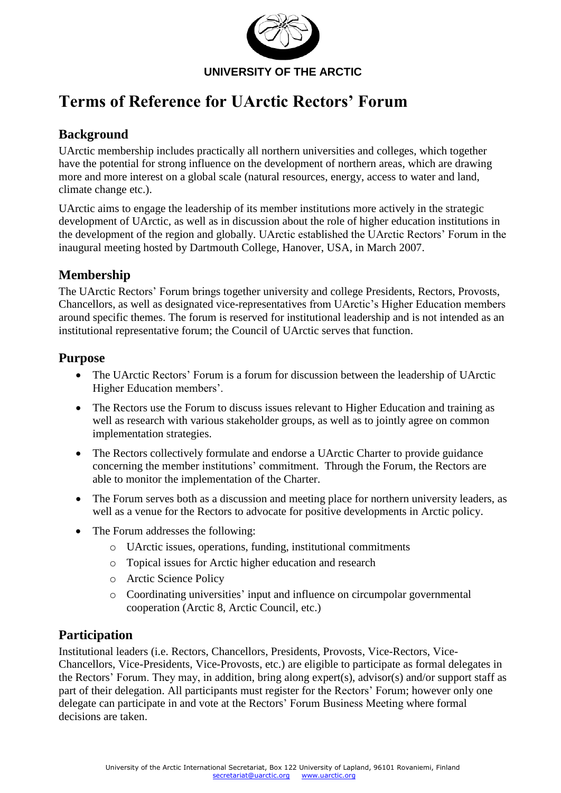

# **Terms of Reference for UArctic Rectors' Forum**

# **Background**

UArctic membership includes practically all northern universities and colleges, which together have the potential for strong influence on the development of northern areas, which are drawing more and more interest on a global scale (natural resources, energy, access to water and land, climate change etc.).

UArctic aims to engage the leadership of its member institutions more actively in the strategic development of UArctic, as well as in discussion about the role of higher education institutions in the development of the region and globally. UArctic established the UArctic Rectors' Forum in the inaugural meeting hosted by Dartmouth College, Hanover, USA, in March 2007.

# **Membership**

The UArctic Rectors' Forum brings together university and college Presidents, Rectors, Provosts, Chancellors, as well as designated vice-representatives from UArctic's Higher Education members around specific themes. The forum is reserved for institutional leadership and is not intended as an institutional representative forum; the Council of UArctic serves that function.

#### **Purpose**

- The UArctic Rectors' Forum is a forum for discussion between the leadership of UArctic Higher Education members'.
- The Rectors use the Forum to discuss issues relevant to Higher Education and training as well as research with various stakeholder groups, as well as to jointly agree on common implementation strategies.
- The Rectors collectively formulate and endorse a UArctic Charter to provide guidance concerning the member institutions' commitment. Through the Forum, the Rectors are able to monitor the implementation of the Charter.
- The Forum serves both as a discussion and meeting place for northern university leaders, as well as a venue for the Rectors to advocate for positive developments in Arctic policy.
- The Forum addresses the following:
	- o UArctic issues, operations, funding, institutional commitments
	- o Topical issues for Arctic higher education and research
	- o Arctic Science Policy
	- o Coordinating universities' input and influence on circumpolar governmental cooperation (Arctic 8, Arctic Council, etc.)

## **Participation**

Institutional leaders (i.e. Rectors, Chancellors, Presidents, Provosts, Vice-Rectors, Vice-Chancellors, Vice-Presidents, Vice-Provosts, etc.) are eligible to participate as formal delegates in the Rectors' Forum. They may, in addition, bring along expert(s), advisor(s) and/or support staff as part of their delegation. All participants must register for the Rectors' Forum; however only one delegate can participate in and vote at the Rectors' Forum Business Meeting where formal decisions are taken.